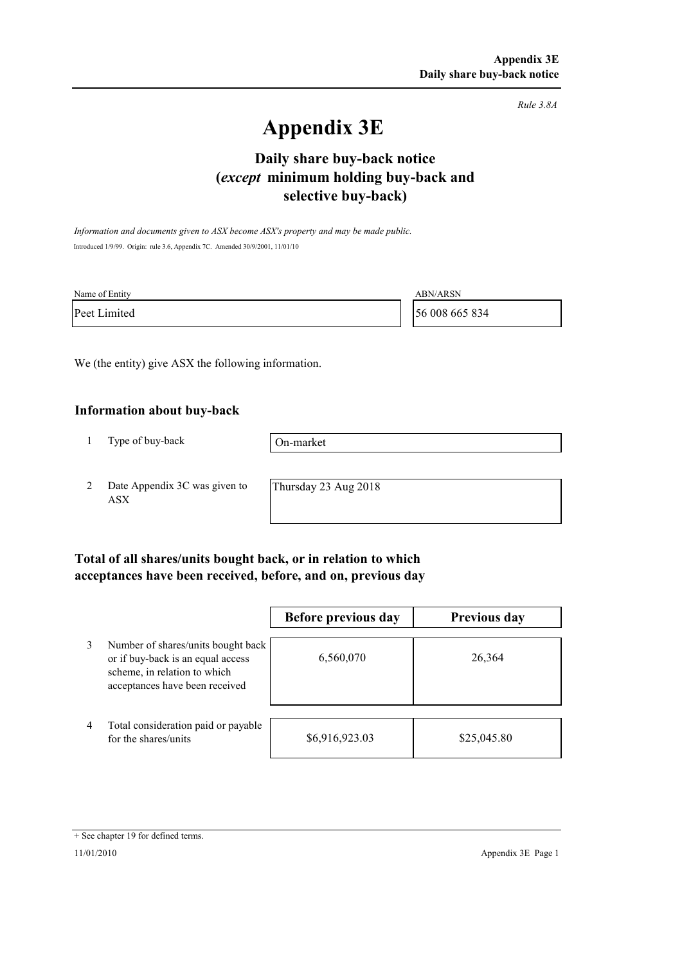*Rule 3.8A*

# **Appendix 3E**

# **selective buy-back) Daily share buy-back notice (***except* **minimum holding buy-back and**

*Information and documents given to ASX become ASX's property and may be made public.* Introduced 1/9/99. Origin: rule 3.6, Appendix 7C. Amended 30/9/2001, 11/01/10

| Name of Entity | ABN/ARSN       |
|----------------|----------------|
| Peet Limited   | 56 008 665 834 |

We (the entity) give ASX the following information.

#### **Information about buy-back**

1 Type of buy-back

On-market

2 Date Appendix 3C was given to ASX

Thursday 23 Aug 2018

### **Total of all shares/units bought back, or in relation to which acceptances have been received, before, and on, previous day**

|   |                                                                                                                                           | Before previous day | <b>Previous day</b> |
|---|-------------------------------------------------------------------------------------------------------------------------------------------|---------------------|---------------------|
| 3 | Number of shares/units bought back<br>or if buy-back is an equal access<br>scheme, in relation to which<br>acceptances have been received | 6,560,070           | 26,364              |
| 4 | Total consideration paid or payable<br>for the shares/units                                                                               | \$6,916,923.03      | \$25,045.80         |

<sup>+</sup> See chapter 19 for defined terms.